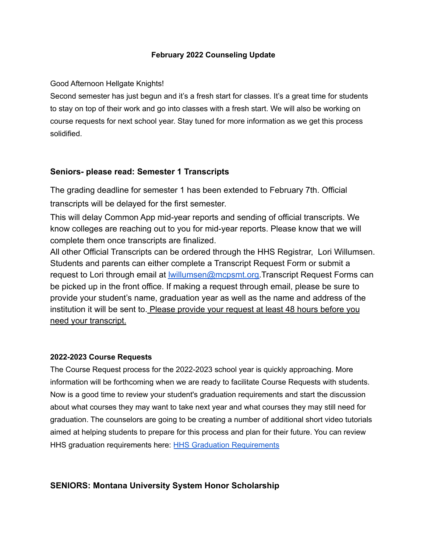### **February 2022 Counseling Update**

### Good Afternoon Hellgate Knights!

Second semester has just begun and it's a fresh start for classes. It's a great time for students to stay on top of their work and go into classes with a fresh start. We will also be working on course requests for next school year. Stay tuned for more information as we get this process solidified.

## **Seniors- please read: Semester 1 Transcripts**

The grading deadline for semester 1 has been extended to February 7th. Official transcripts will be delayed for the first semester.

This will delay Common App mid-year reports and sending of official transcripts. We know colleges are reaching out to you for mid-year reports. Please know that we will complete them once transcripts are finalized.

All other Official Transcripts can be ordered through the HHS Registrar, Lori Willumsen. Students and parents can either complete a Transcript Request Form or submit a request to Lori through email at **willumsen@mcpsmt.org.Transcript Request Forms can** be picked up in the front office. If making a request through email, please be sure to provide your student's name, graduation year as well as the name and address of the institution it will be sent to. Please provide your request at least 48 hours before you need your transcript.

#### **2022-2023 Course Requests**

The Course Request process for the 2022-2023 school year is quickly approaching. More information will be forthcoming when we are ready to facilitate Course Requests with students. Now is a good time to review your student's graduation requirements and start the discussion about what courses they may want to take next year and what courses they may still need for graduation. The counselors are going to be creating a number of additional short video tutorials aimed at helping students to prepare for this process and plan for their future. You can review HHS graduation requirements here: **HHS Graduation [Requirements](https://www.mcpsmt.org/Page/16369)** 

# **SENIORS: Montana University System Honor Scholarship**